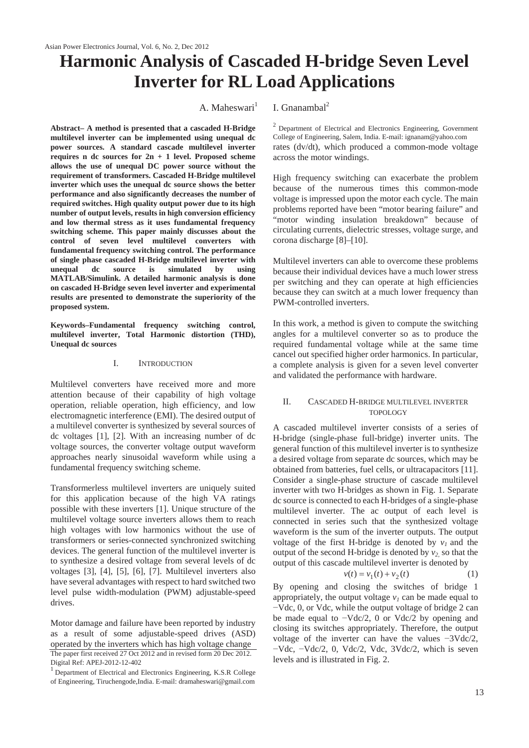# **Harmonic Analysis of Cascaded H-bridge Seven Level Inverter for RL Load Applications**

**Abstract– A method is presented that a cascaded H-Bridge multilevel inverter can be implemented using unequal dc power sources. A standard cascade multilevel inverter requires n dc sources for 2n + 1 level. Proposed scheme allows the use of unequal DC power source without the requirement of transformers. Cascaded H-Bridge multilevel inverter which uses the unequal dc source shows the better performance and also significantly decreases the number of required switches. High quality output power due to its high number of output levels, results in high conversion efficiency and low thermal stress as it uses fundamental frequency switching scheme. This paper mainly discusses about the control of seven level multilevel converters with fundamental frequency switching control. The performance of single phase cascaded H-Bridge multilevel inverter with unequal dc source is simulated by using MATLAB/Simulink. A detailed harmonic analysis is done on cascaded H-Bridge seven level inverter and experimental results are presented to demonstrate the superiority of the proposed system.** 

**Keywords–Fundamental frequency switching control, multilevel inverter, Total Harmonic distortion (THD), Unequal dc sources** 

### I. INTRODUCTION

Multilevel converters have received more and more attention because of their capability of high voltage operation, reliable operation, high efficiency, and low electromagnetic interference (EMI). The desired output of a multilevel converter is synthesized by several sources of dc voltages [1], [2]. With an increasing number of dc voltage sources, the converter voltage output waveform approaches nearly sinusoidal waveform while using a fundamental frequency switching scheme.

Transformerless multilevel inverters are uniquely suited for this application because of the high VA ratings possible with these inverters [1]. Unique structure of the multilevel voltage source inverters allows them to reach high voltages with low harmonics without the use of transformers or series-connected synchronized switching devices. The general function of the multilevel inverter is to synthesize a desired voltage from several levels of dc voltages [3], [4], [5], [6], [7]. Multilevel inverters also have several advantages with respect to hard switched two level pulse width-modulation (PWM) adjustable-speed drives.

Motor damage and failure have been reported by industry as a result of some adjustable-speed drives (ASD) operated by the inverters which has high voltage change The paper first received 27 Oct 2012 and in revised form 20 Dec 2012. Digital Ref: APEJ-2012-12-402

# A. Maheswari<sup>1</sup> I. Gnanambal<sup>2</sup>

2 Department of Electrical and Electronics Engineering, Government College of Engineering, Salem, India. E-mail: ignanam@yahoo.com rates (dv/dt), which produced a common-mode voltage across the motor windings.

High frequency switching can exacerbate the problem because of the numerous times this common-mode voltage is impressed upon the motor each cycle. The main problems reported have been "motor bearing failure" and "motor winding insulation breakdown" because of circulating currents, dielectric stresses, voltage surge, and corona discharge [8]–[10].

Multilevel inverters can able to overcome these problems because their individual devices have a much lower stress per switching and they can operate at high efficiencies because they can switch at a much lower frequency than PWM-controlled inverters.

In this work, a method is given to compute the switching angles for a multilevel converter so as to produce the required fundamental voltage while at the same time cancel out specified higher order harmonics. In particular, a complete analysis is given for a seven level converter and validated the performance with hardware.

# II. CASCADED H-BRIDGE MULTILEVEL INVERTER TOPOLOGY

A cascaded multilevel inverter consists of a series of H-bridge (single-phase full-bridge) inverter units. The general function of this multilevel inverter is to synthesize a desired voltage from separate dc sources, which may be obtained from batteries, fuel cells, or ultracapacitors [11]. Consider a single-phase structure of cascade multilevel inverter with two H-bridges as shown in Fig. 1. Separate dc source is connected to each H-bridges of a single-phase multilevel inverter. The ac output of each level is connected in series such that the synthesized voltage waveform is the sum of the inverter outputs. The output voltage of the first H-bridge is denoted by  $v_1$  and the output of the second H-bridge is denoted by  $v_2$  so that the output of this cascade multilevel inverter is denoted by

$$
v(t) = v_1(t) + v_2(t)
$$
 (1)

By opening and closing the switches of bridge 1 appropriately, the output voltage  $v_1$  can be made equal to  $-Vdc$ , 0, or Vdc, while the output voltage of bridge 2 can be made equal to  $-\text{Vdc}/2$ , 0 or Vdc/2 by opening and closing its switches appropriately. Therefore, the output voltage of the inverter can have the values  $-3Vdc/2$ ,  $-Vdc$ ,  $-Vdc/2$ , 0,  $Vdc/2$ ,  $Vdc$ ,  $3Vdc/2$ , which is seven levels and is illustrated in Fig. 2.

<sup>1</sup> Department of Electrical and Electronics Engineering, K.S.R College of Engineering, Tiruchengode,India. E-mail: dramaheswari@gmail.com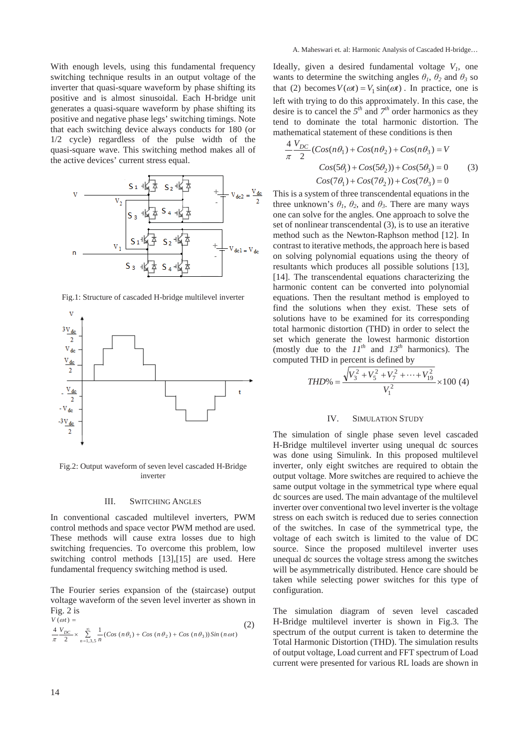With enough levels, using this fundamental frequency switching technique results in an output voltage of the inverter that quasi-square waveform by phase shifting its positive and is almost sinusoidal. Each H-bridge unit generates a quasi-square waveform by phase shifting its positive and negative phase legs' switching timings. Note that each switching device always conducts for 180 (or 1/2 cycle) regardless of the pulse width of the quasi-square wave. This switching method makes all of the active devices' current stress equal.

Fig.1: Structure of cascaded H-bridge multilevel inverter



Fig.2: Output waveform of seven level cascaded H-Bridge inverter

# III. SWITCHING ANGLES

In conventional cascaded multilevel inverters, PWM control methods and space vector PWM method are used. These methods will cause extra losses due to high switching frequencies. To overcome this problem, low switching control methods [13],[15] are used. Here fundamental frequency switching method is used.

The Fourier series expansion of the (staircase) output voltage waveform of the seven level inverter as shown in Fig. 2 is

$$
V(\omega t) =
$$
\n
$$
\frac{4}{\pi} \frac{V_{DC}}{2} \times \sum_{n=1,3,5}^{\infty} \frac{1}{n} (Cos (n\theta_1) + Cos (n\theta_2) + Cos (n\theta_3)) Sin (n\omega t)
$$
\n(2)

Ideally, given a desired fundamental voltage  $V_1$ , one wants to determine the switching angles  $\theta_1$ ,  $\theta_2$  and  $\theta_3$  so that (2) becomes  $V(\omega t) = V_1 \sin(\omega t)$ . In practice, one is left with trying to do this approximately. In this case, the desire is to cancel the  $5<sup>th</sup>$  and  $7<sup>th</sup>$  order harmonics as they tend to dominate the total harmonic distortion. The mathematical statement of these conditions is then

$$
\frac{4}{\pi} \frac{V_{DC}}{2} (Cos(n\theta_1) + Cos(n\theta_2) + Cos(n\theta_3) = V
$$
  
\n
$$
Cos(5\theta_1) + Cos(5\theta_2) + Cos(5\theta_3) = 0
$$
 (3)  
\n
$$
Cos(7\theta_1) + Cos(7\theta_2) + Cos(7\theta_3) = 0
$$

This is a system of three transcendental equations in the three unknown's  $\theta_1$ ,  $\theta_2$ , and  $\theta_3$ . There are many ways one can solve for the angles. One approach to solve the set of nonlinear transcendental (3), is to use an iterative method such as the Newton-Raphson method [12]. In contrast to iterative methods, the approach here is based on solving polynomial equations using the theory of resultants which produces all possible solutions [13], [14]. The transcendental equations characterizing the harmonic content can be converted into polynomial equations. Then the resultant method is employed to find the solutions when they exist. These sets of solutions have to be examined for its corresponding total harmonic distortion (THD) in order to select the set which generate the lowest harmonic distortion (mostly due to the  $II^{th}$  and  $I3^{th}$  harmonics). The computed THD in percent is defined by

$$
THD\% = \frac{\sqrt{V_3^2 + V_5^2 + V_7^2 + \dots + V_{19}^2}}{V_1^2} \times 100 \text{ (4)}
$$

#### IV. SIMULATION STUDY

The simulation of single phase seven level cascaded H-Bridge multilevel inverter using unequal dc sources was done using Simulink. In this proposed multilevel inverter, only eight switches are required to obtain the output voltage. More switches are required to achieve the same output voltage in the symmetrical type where equal dc sources are used. The main advantage of the multilevel inverter over conventional two level inverter is the voltage stress on each switch is reduced due to series connection of the switches. In case of the symmetrical type, the voltage of each switch is limited to the value of DC source. Since the proposed multilevel inverter uses unequal dc sources the voltage stress among the switches will be asymmetrically distributed. Hence care should be taken while selecting power switches for this type of configuration.

The simulation diagram of seven level cascaded H-Bridge multilevel inverter is shown in Fig.3. The spectrum of the output current is taken to determine the Total Harmonic Distortion (THD). The simulation results of output voltage, Load current and FFT spectrum of Load current were presented for various RL loads are shown in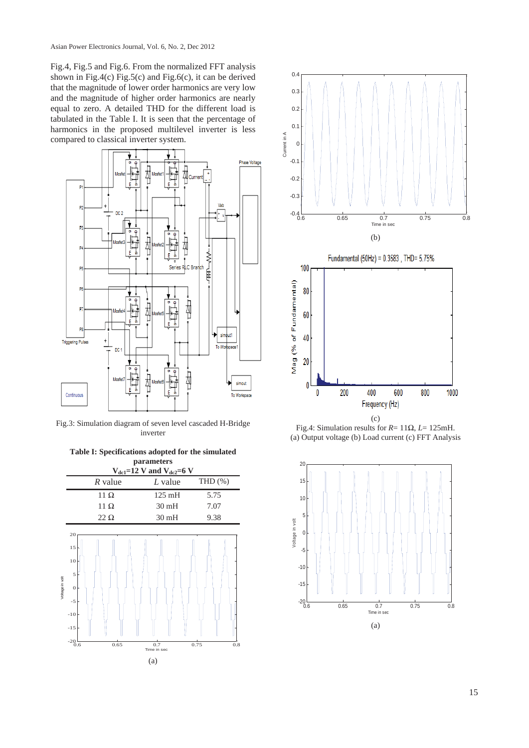Fig.4, Fig.5 and Fig.6. From the normalized FFT analysis shown in Fig.4(c) Fig.5(c) and Fig.6(c), it can be derived that the magnitude of lower order harmonics are very low and the magnitude of higher order harmonics are nearly equal to zero. A detailed THD for the different load is tabulated in the Table I. It is seen that the percentage of harmonics in the proposed multilevel inverter is less compared to classical inverter system.



Fig.3: Simulation diagram of seven level cascaded H-Bridge inverter







(c) Fig.4: Simulation results for  $R = 11\Omega$ ,  $L = 125$ mH. (a) Output voltage (b) Load current (c) FFT Analysis

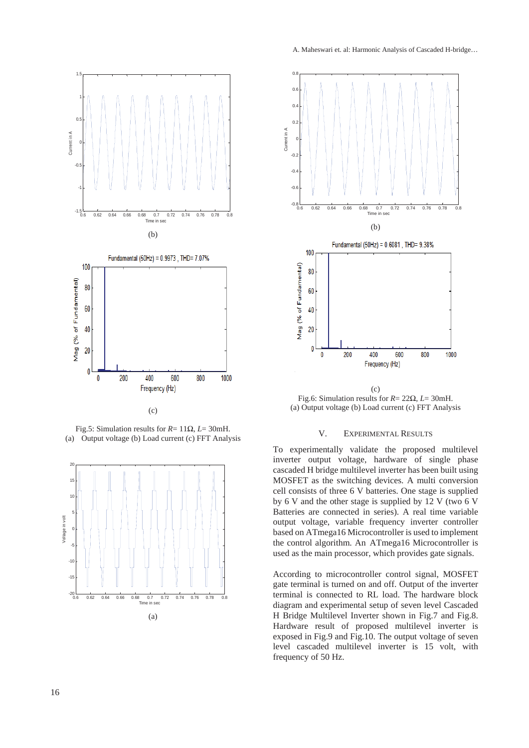

(c)

Fig.5: Simulation results for  $R = 11\Omega$ ,  $L = 30$ mH. (a) Output voltage (b) Load current (c) FFT Analysis





Fig.6: Simulation results for  $R = 22\Omega$ ,  $L = 30$ mH. (a) Output voltage (b) Load current (c) FFT Analysis

## V. EXPERIMENTAL RESULTS

To experimentally validate the proposed multilevel inverter output voltage, hardware of single phase cascaded H bridge multilevel inverter has been built using MOSFET as the switching devices. A multi conversion cell consists of three 6 V batteries. One stage is supplied by 6 V and the other stage is supplied by 12 V (two 6 V Batteries are connected in series). A real time variable output voltage, variable frequency inverter controller based on ATmega16 Microcontroller is used to implement the control algorithm. An ATmega16 Microcontroller is used as the main processor, which provides gate signals.

According to microcontroller control signal, MOSFET gate terminal is turned on and off. Output of the inverter terminal is connected to RL load. The hardware block diagram and experimental setup of seven level Cascaded H Bridge Multilevel Inverter shown in Fig.7 and Fig.8. Hardware result of proposed multilevel inverter is exposed in Fig.9 and Fig.10. The output voltage of seven level cascaded multilevel inverter is 15 volt, with frequency of 50 Hz.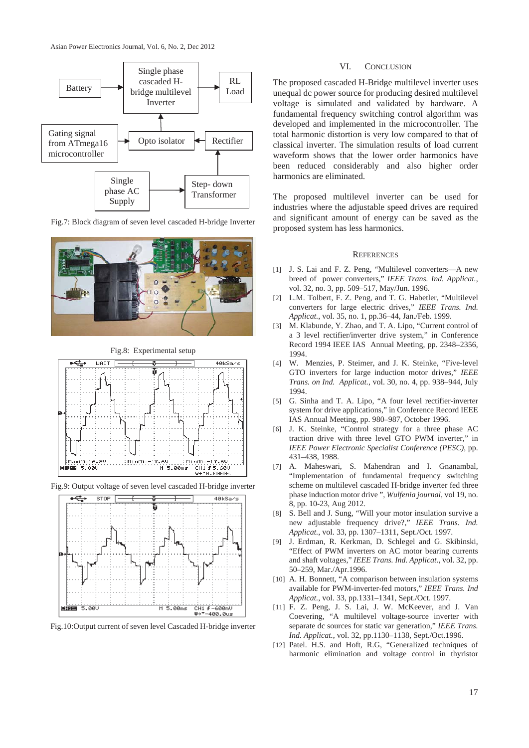

Fig.7: Block diagram of seven level cascaded H-bridge Inverter



Fig.8: Experimental setup



Fig.9: Output voltage of seven level cascaded H-bridge inverter



Fig.10:Output current of seven level Cascaded H-bridge inverter

# VI. CONCLUSION

The proposed cascaded H-Bridge multilevel inverter uses unequal dc power source for producing desired multilevel voltage is simulated and validated by hardware. A fundamental frequency switching control algorithm was developed and implemented in the microcontroller. The total harmonic distortion is very low compared to that of classical inverter. The simulation results of load current waveform shows that the lower order harmonics have been reduced considerably and also higher order harmonics are eliminated.

The proposed multilevel inverter can be used for industries where the adjustable speed drives are required and significant amount of energy can be saved as the proposed system has less harmonics.

#### **REFERENCES**

- [1] J. S. Lai and F. Z. Peng, "Multilevel converters—A new breed of power converters," *IEEE Trans. Ind. Applicat.*, vol. 32, no. 3, pp. 509–517, May/Jun. 1996.
- [2] L.M. Tolbert, F. Z. Peng, and T. G. Habetler, "Multilevel converters for large electric drives," *IEEE Trans. Ind. Applicat.*, vol. 35, no. 1, pp.36–44, Jan./Feb. 1999.
- [3] M. Klabunde, Y. Zhao, and T. A. Lipo, "Current control of a 3 level rectifier/inverter drive system," in Conference Record 1994 IEEE IAS Annual Meeting, pp. 2348–2356, 1994.
- [4] W. Menzies, P. Steimer, and J. K. Steinke, "Five-level GTO inverters for large induction motor drives," *IEEE Trans. on Ind. Applicat.*, vol. 30, no. 4, pp. 938–944, July 1994.
- [5] G. Sinha and T. A. Lipo, "A four level rectifier-inverter system for drive applications," in Conference Record IEEE IAS Annual Meeting, pp. 980–987, October 1996.
- [6] J. K. Steinke, "Control strategy for a three phase AC traction drive with three level GTO PWM inverter," in *IEEE Power Electronic Specialist Conference (PESC)*, pp. 431–438, 1988.
- [7] A. Maheswari, S. Mahendran and I. Gnanambal, "Implementation of fundamental frequency switching scheme on multilevel cascaded H-bridge inverter fed three phase induction motor drive ", *Wulfenia journal*, vol 19, no. 8, pp. 10-23, Aug 2012.
- [8] S. Bell and J. Sung, "Will your motor insulation survive a new adjustable frequency drive?," *IEEE Trans. Ind. Applicat.*, vol. 33, pp. 1307–1311, Sept./Oct. 1997.
- [9] J. Erdman, R. Kerkman, D. Schlegel and G. Skibinski, "Effect of PWM inverters on AC motor bearing currents and shaft voltages," *IEEE Trans. Ind. Applicat.*, vol. 32, pp. 50–259, Mar./Apr.1996.
- [10] A. H. Bonnett, "A comparison between insulation systems available for PWM-inverter-fed motors," *IEEE Trans. Ind Applicat.*, vol. 33, pp.1331–1341, Sept./Oct. 1997.
- [11] F. Z. Peng, J. S. Lai, J. W. McKeever, and J. Van Coevering, "A multilevel voltage-source inverter with separate dc sources for static var generation," *IEEE Trans. Ind. Applicat.*, vol. 32, pp.1130–1138, Sept./Oct.1996.
- [12] Patel. H.S. and Hoft, R.G, "Generalized techniques of harmonic elimination and voltage control in thyristor